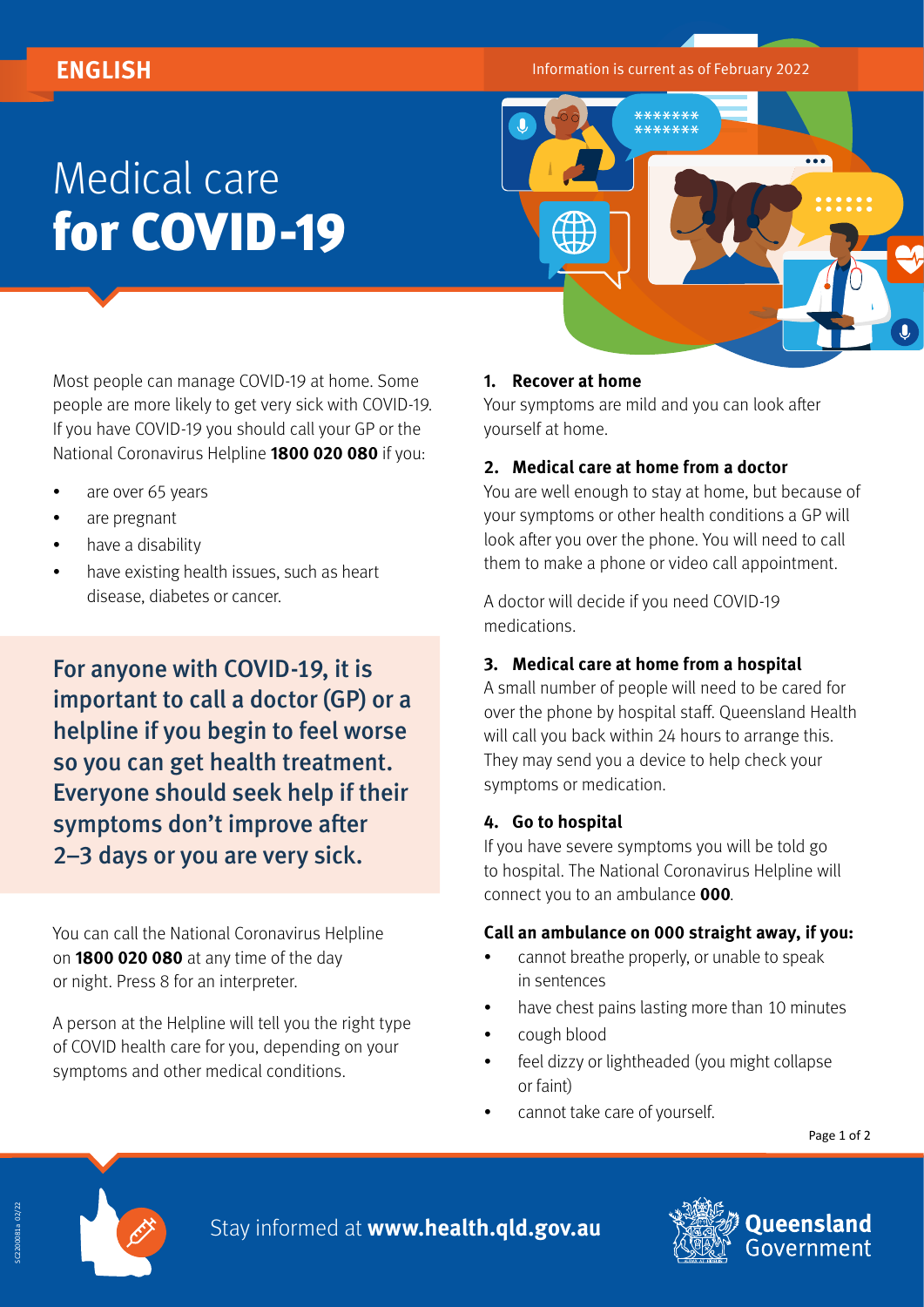**ENGLISH Information is current as of February 2022** 

# Medical care for COVID-19



Most people can manage COVID-19 at home. Some people are more likely to get very sick with COVID-19. If you have COVID-19 you should call your GP or the National Coronavirus Helpline **1800 020 080** if you:

- are over 65 years
- are pregnant
- have a disability
- have existing health issues, such as heart disease, diabetes or cancer.

For anyone with COVID-19, it is important to call a doctor (GP) or a helpline if you begin to feel worse so you can get health treatment. Everyone should seek help if their symptoms don't improve after 2–3 days or you are very sick.

You can call the National Coronavirus Helpline on **1800 020 080** at any time of the day or night. Press 8 for an interpreter.

A person at the Helpline will tell you the right type of COVID health care for you, depending on your symptoms and other medical conditions.

### **1. Recover at home**

Your symptoms are mild and you can look after yourself at home.

#### **2. Medical care at home from a doctor**

You are well enough to stay at home, but because of your symptoms or other health conditions a GP will look after you over the phone. You will need to call them to make a phone or video call appointment.

A doctor will decide if you need COVID-19 medications.

### **3. Medical care at home from a hospital**

A small number of people will need to be cared for over the phone by hospital staff. Queensland Health will call you back within 24 hours to arrange this. They may send you a device to help check your symptoms or medication.

### **4. Go to hospital**

If you have severe symptoms you will be told go to hospital. The National Coronavirus Helpline will connect you to an ambulance **000**.

### **Call an ambulance on 000 straight away, if you:**

- cannot breathe properly, or unable to speak in sentences
- have chest pains lasting more than 10 minutes
- cough blood
- feel dizzy or lightheaded (you might collapse or faint)
- cannot take care of yourself.

Page 1 of 2



Stay informed at **[www.health.qld.gov.au](http://www.health.qld.gov.au)**